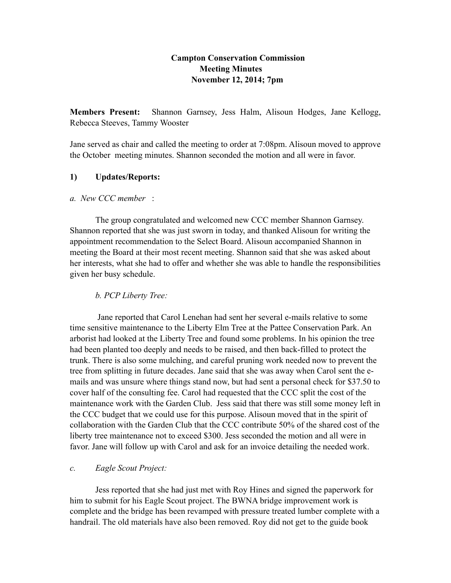### **Campton Conservation Commission Meeting Minutes November 12, 2014; 7pm**

**Members Present:** Shannon Garnsey, Jess Halm, Alisoun Hodges, Jane Kellogg, Rebecca Steeves, Tammy Wooster

Jane served as chair and called the meeting to order at 7:08pm. Alisoun moved to approve the October meeting minutes. Shannon seconded the motion and all were in favor.

#### **1) Updates/Reports:**

#### *a. New CCC member* :

The group congratulated and welcomed new CCC member Shannon Garnsey. Shannon reported that she was just sworn in today, and thanked Alisoun for writing the appointment recommendation to the Select Board. Alisoun accompanied Shannon in meeting the Board at their most recent meeting. Shannon said that she was asked about her interests, what she had to offer and whether she was able to handle the responsibilities given her busy schedule.

## *b. PCP Liberty Tree:*

 Jane reported that Carol Lenehan had sent her several e-mails relative to some time sensitive maintenance to the Liberty Elm Tree at the Pattee Conservation Park. An arborist had looked at the Liberty Tree and found some problems. In his opinion the tree had been planted too deeply and needs to be raised, and then back-filled to protect the trunk. There is also some mulching, and careful pruning work needed now to prevent the tree from splitting in future decades. Jane said that she was away when Carol sent the emails and was unsure where things stand now, but had sent a personal check for \$37.50 to cover half of the consulting fee. Carol had requested that the CCC split the cost of the maintenance work with the Garden Club. Jess said that there was still some money left in the CCC budget that we could use for this purpose. Alisoun moved that in the spirit of collaboration with the Garden Club that the CCC contribute 50% of the shared cost of the liberty tree maintenance not to exceed \$300. Jess seconded the motion and all were in favor. Jane will follow up with Carol and ask for an invoice detailing the needed work.

## *c. Eagle Scout Project:*

Jess reported that she had just met with Roy Hines and signed the paperwork for him to submit for his Eagle Scout project. The BWNA bridge improvement work is complete and the bridge has been revamped with pressure treated lumber complete with a handrail. The old materials have also been removed. Roy did not get to the guide book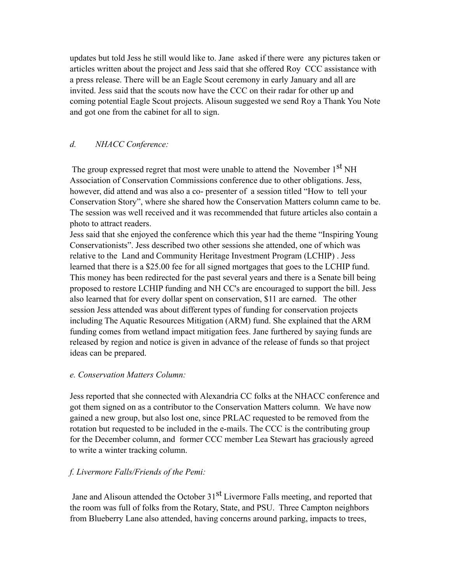updates but told Jess he still would like to. Jane asked if there were any pictures taken or articles written about the project and Jess said that she offered Roy CCC assistance with a press release. There will be an Eagle Scout ceremony in early January and all are invited. Jess said that the scouts now have the CCC on their radar for other up and coming potential Eagle Scout projects. Alisoun suggested we send Roy a Thank You Note and got one from the cabinet for all to sign.

# *d. NHACC Conference:*

The group expressed regret that most were unable to attend the November 1<sup>st</sup> NH Association of Conservation Commissions conference due to other obligations. Jess, however, did attend and was also a co- presenter of a session titled "How to tell your Conservation Story", where she shared how the Conservation Matters column came to be. The session was well received and it was recommended that future articles also contain a photo to attract readers.

Jess said that she enjoyed the conference which this year had the theme "Inspiring Young Conservationists". Jess described two other sessions she attended, one of which was relative to the Land and Community Heritage Investment Program (LCHIP) . Jess learned that there is a \$25.00 fee for all signed mortgages that goes to the LCHIP fund. This money has been redirected for the past several years and there is a Senate bill being proposed to restore LCHIP funding and NH CC's are encouraged to support the bill. Jess also learned that for every dollar spent on conservation, \$11 are earned. The other session Jess attended was about different types of funding for conservation projects including The Aquatic Resources Mitigation (ARM) fund. She explained that the ARM funding comes from wetland impact mitigation fees. Jane furthered by saying funds are released by region and notice is given in advance of the release of funds so that project ideas can be prepared.

#### *e. Conservation Matters Column:*

Jess reported that she connected with Alexandria CC folks at the NHACC conference and got them signed on as a contributor to the Conservation Matters column. We have now gained a new group, but also lost one, since PRLAC requested to be removed from the rotation but requested to be included in the e-mails. The CCC is the contributing group for the December column, and former CCC member Lea Stewart has graciously agreed to write a winter tracking column.

## *f. Livermore Falls/Friends of the Pemi:*

Jane and Alisoun attended the October 31<sup>st</sup> Livermore Falls meeting, and reported that the room was full of folks from the Rotary, State, and PSU. Three Campton neighbors from Blueberry Lane also attended, having concerns around parking, impacts to trees,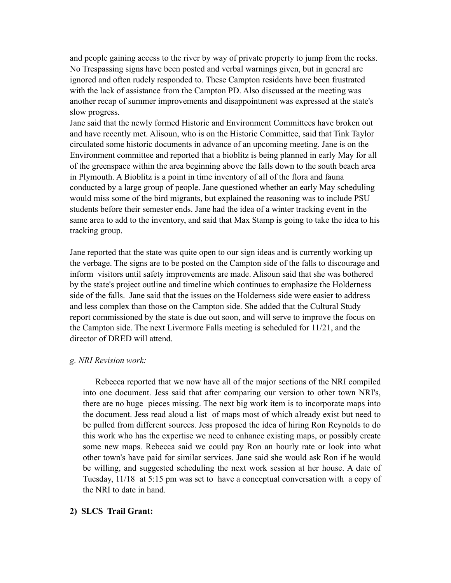and people gaining access to the river by way of private property to jump from the rocks. No Trespassing signs have been posted and verbal warnings given, but in general are ignored and often rudely responded to. These Campton residents have been frustrated with the lack of assistance from the Campton PD. Also discussed at the meeting was another recap of summer improvements and disappointment was expressed at the state's slow progress.

Jane said that the newly formed Historic and Environment Committees have broken out and have recently met. Alisoun, who is on the Historic Committee, said that Tink Taylor circulated some historic documents in advance of an upcoming meeting. Jane is on the Environment committee and reported that a bioblitz is being planned in early May for all of the greenspace within the area beginning above the falls down to the south beach area in Plymouth. A Bioblitz is a point in time inventory of all of the flora and fauna conducted by a large group of people. Jane questioned whether an early May scheduling would miss some of the bird migrants, but explained the reasoning was to include PSU students before their semester ends. Jane had the idea of a winter tracking event in the same area to add to the inventory, and said that Max Stamp is going to take the idea to his tracking group.

Jane reported that the state was quite open to our sign ideas and is currently working up the verbage. The signs are to be posted on the Campton side of the falls to discourage and inform visitors until safety improvements are made. Alisoun said that she was bothered by the state's project outline and timeline which continues to emphasize the Holderness side of the falls. Jane said that the issues on the Holderness side were easier to address and less complex than those on the Campton side. She added that the Cultural Study report commissioned by the state is due out soon, and will serve to improve the focus on the Campton side. The next Livermore Falls meeting is scheduled for 11/21, and the director of DRED will attend.

#### *g. NRI Revision work:*

Rebecca reported that we now have all of the major sections of the NRI compiled into one document. Jess said that after comparing our version to other town NRI's, there are no huge pieces missing. The next big work item is to incorporate maps into the document. Jess read aloud a list of maps most of which already exist but need to be pulled from different sources. Jess proposed the idea of hiring Ron Reynolds to do this work who has the expertise we need to enhance existing maps, or possibly create some new maps. Rebecca said we could pay Ron an hourly rate or look into what other town's have paid for similar services. Jane said she would ask Ron if he would be willing, and suggested scheduling the next work session at her house. A date of Tuesday, 11/18 at 5:15 pm was set to have a conceptual conversation with a copy of the NRI to date in hand.

#### **2) SLCS Trail Grant:**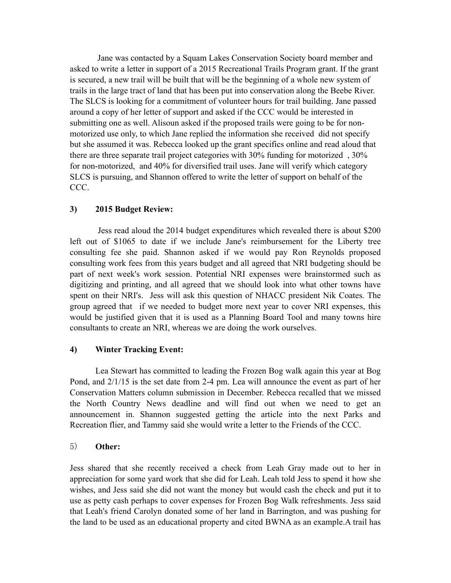Jane was contacted by a Squam Lakes Conservation Society board member and asked to write a letter in support of a 2015 Recreational Trails Program grant. If the grant is secured, a new trail will be built that will be the beginning of a whole new system of trails in the large tract of land that has been put into conservation along the Beebe River. The SLCS is looking for a commitment of volunteer hours for trail building. Jane passed around a copy of her letter of support and asked if the CCC would be interested in submitting one as well. Alisoun asked if the proposed trails were going to be for nonmotorized use only, to which Jane replied the information she received did not specify but she assumed it was. Rebecca looked up the grant specifics online and read aloud that there are three separate trail project categories with 30% funding for motorized , 30% for non-motorized, and 40% for diversified trail uses. Jane will verify which category SLCS is pursuing, and Shannon offered to write the letter of support on behalf of the CCC.

#### **3) 2015 Budget Review:**

 Jess read aloud the 2014 budget expenditures which revealed there is about \$200 left out of \$1065 to date if we include Jane's reimbursement for the Liberty tree consulting fee she paid. Shannon asked if we would pay Ron Reynolds proposed consulting work fees from this years budget and all agreed that NRI budgeting should be part of next week's work session. Potential NRI expenses were brainstormed such as digitizing and printing, and all agreed that we should look into what other towns have spent on their NRI's. Jess will ask this question of NHACC president Nik Coates. The group agreed that if we needed to budget more next year to cover NRI expenses, this would be justified given that it is used as a Planning Board Tool and many towns hire consultants to create an NRI, whereas we are doing the work ourselves.

## **4) Winter Tracking Event:**

Lea Stewart has committed to leading the Frozen Bog walk again this year at Bog Pond, and 2/1/15 is the set date from 2-4 pm. Lea will announce the event as part of her Conservation Matters column submission in December. Rebecca recalled that we missed the North Country News deadline and will find out when we need to get an announcement in. Shannon suggested getting the article into the next Parks and Recreation flier, and Tammy said she would write a letter to the Friends of the CCC.

#### 5) **Other:**

Jess shared that she recently received a check from Leah Gray made out to her in appreciation for some yard work that she did for Leah. Leah told Jess to spend it how she wishes, and Jess said she did not want the money but would cash the check and put it to use as petty cash perhaps to cover expenses for Frozen Bog Walk refreshments. Jess said that Leah's friend Carolyn donated some of her land in Barrington, and was pushing for the land to be used as an educational property and cited BWNA as an example.A trail has